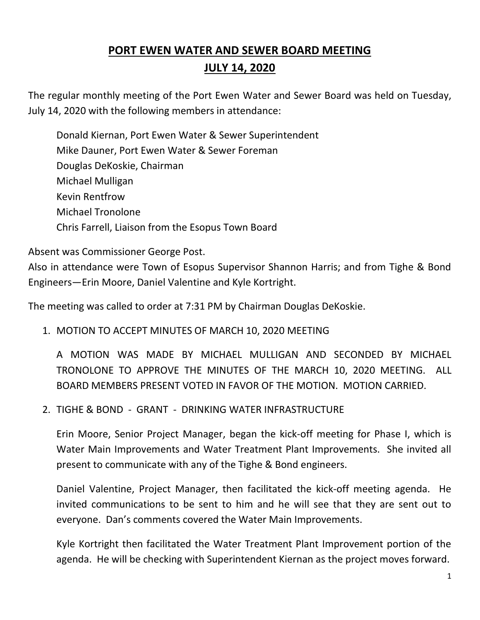# **PORT EWEN WATER AND SEWER BOARD MEETING JULY 14, 2020**

The regular monthly meeting of the Port Ewen Water and Sewer Board was held on Tuesday, July 14, 2020 with the following members in attendance:

Donald Kiernan, Port Ewen Water & Sewer Superintendent Mike Dauner, Port Ewen Water & Sewer Foreman Douglas DeKoskie, Chairman Michael Mulligan Kevin Rentfrow Michael Tronolone Chris Farrell, Liaison from the Esopus Town Board

Absent was Commissioner George Post.

Also in attendance were Town of Esopus Supervisor Shannon Harris; and from Tighe & Bond Engineers—Erin Moore, Daniel Valentine and Kyle Kortright.

The meeting was called to order at 7:31 PM by Chairman Douglas DeKoskie.

1. MOTION TO ACCEPT MINUTES OF MARCH 10, 2020 MEETING

A MOTION WAS MADE BY MICHAEL MULLIGAN AND SECONDED BY MICHAEL TRONOLONE TO APPROVE THE MINUTES OF THE MARCH 10, 2020 MEETING. ALL BOARD MEMBERS PRESENT VOTED IN FAVOR OF THE MOTION. MOTION CARRIED.

2. TIGHE & BOND - GRANT - DRINKING WATER INFRASTRUCTURE

Erin Moore, Senior Project Manager, began the kick-off meeting for Phase I, which is Water Main Improvements and Water Treatment Plant Improvements. She invited all present to communicate with any of the Tighe & Bond engineers.

Daniel Valentine, Project Manager, then facilitated the kick-off meeting agenda. He invited communications to be sent to him and he will see that they are sent out to everyone. Dan's comments covered the Water Main Improvements.

Kyle Kortright then facilitated the Water Treatment Plant Improvement portion of the agenda. He will be checking with Superintendent Kiernan as the project moves forward.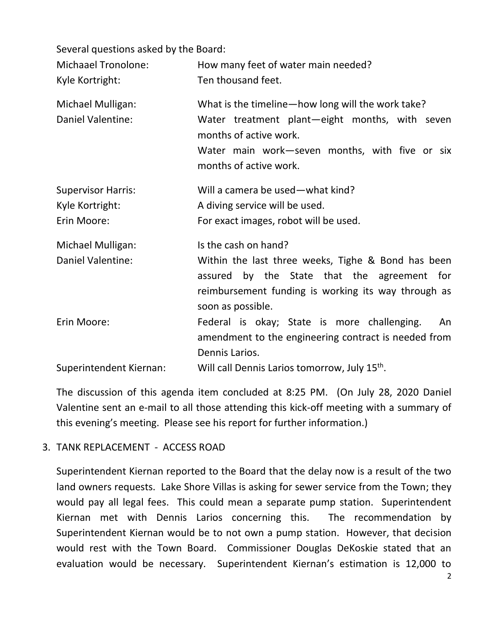Several questions asked by the Board:

| <b>Michaael Tronolone:</b><br>Kyle Kortright:               | How many feet of water main needed?<br>Ten thousand feet.                                                                                                                                                 |
|-------------------------------------------------------------|-----------------------------------------------------------------------------------------------------------------------------------------------------------------------------------------------------------|
| Michael Mulligan:<br>Daniel Valentine:                      | What is the timeline-how long will the work take?<br>Water treatment plant-eight months, with seven<br>months of active work.<br>Water main work-seven months, with five or six<br>months of active work. |
| <b>Supervisor Harris:</b><br>Kyle Kortright:<br>Erin Moore: | Will a camera be used - what kind?<br>A diving service will be used.<br>For exact images, robot will be used.                                                                                             |
| Michael Mulligan:                                           | Is the cash on hand?                                                                                                                                                                                      |
| <b>Daniel Valentine:</b>                                    | Within the last three weeks, Tighe & Bond has been<br>assured by the State that the agreement for<br>reimbursement funding is working its way through as<br>soon as possible.                             |
| Erin Moore:                                                 | Federal is okay; State is more challenging.<br>An<br>amendment to the engineering contract is needed from<br>Dennis Larios.                                                                               |
| Superintendent Kiernan:                                     | Will call Dennis Larios tomorrow, July 15 <sup>th</sup> .                                                                                                                                                 |

The discussion of this agenda item concluded at 8:25 PM. (On July 28, 2020 Daniel Valentine sent an e-mail to all those attending this kick-off meeting with a summary of this evening's meeting. Please see his report for further information.)

### 3. TANK REPLACEMENT - ACCESS ROAD

Superintendent Kiernan reported to the Board that the delay now is a result of the two land owners requests. Lake Shore Villas is asking for sewer service from the Town; they would pay all legal fees. This could mean a separate pump station. Superintendent Kiernan met with Dennis Larios concerning this. The recommendation by Superintendent Kiernan would be to not own a pump station. However, that decision would rest with the Town Board. Commissioner Douglas DeKoskie stated that an evaluation would be necessary. Superintendent Kiernan's estimation is 12,000 to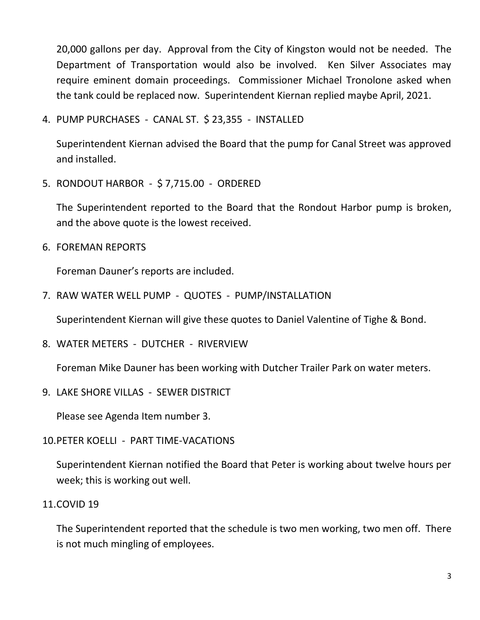20,000 gallons per day. Approval from the City of Kingston would not be needed. The Department of Transportation would also be involved. Ken Silver Associates may require eminent domain proceedings. Commissioner Michael Tronolone asked when the tank could be replaced now. Superintendent Kiernan replied maybe April, 2021.

4. PUMP PURCHASES - CANAL ST. \$ 23,355 - INSTALLED

Superintendent Kiernan advised the Board that the pump for Canal Street was approved and installed.

5. RONDOUT HARBOR - \$ 7,715.00 - ORDERED

The Superintendent reported to the Board that the Rondout Harbor pump is broken, and the above quote is the lowest received.

6. FOREMAN REPORTS

Foreman Dauner's reports are included.

7. RAW WATER WELL PUMP - QUOTES - PUMP/INSTALLATION

Superintendent Kiernan will give these quotes to Daniel Valentine of Tighe & Bond.

8. WATER METERS - DUTCHER - RIVERVIEW

Foreman Mike Dauner has been working with Dutcher Trailer Park on water meters.

9. LAKE SHORE VILLAS - SEWER DISTRICT

Please see Agenda Item number 3.

10.PETER KOELLI - PART TIME-VACATIONS

Superintendent Kiernan notified the Board that Peter is working about twelve hours per week; this is working out well.

#### 11.COVID 19

The Superintendent reported that the schedule is two men working, two men off. There is not much mingling of employees.